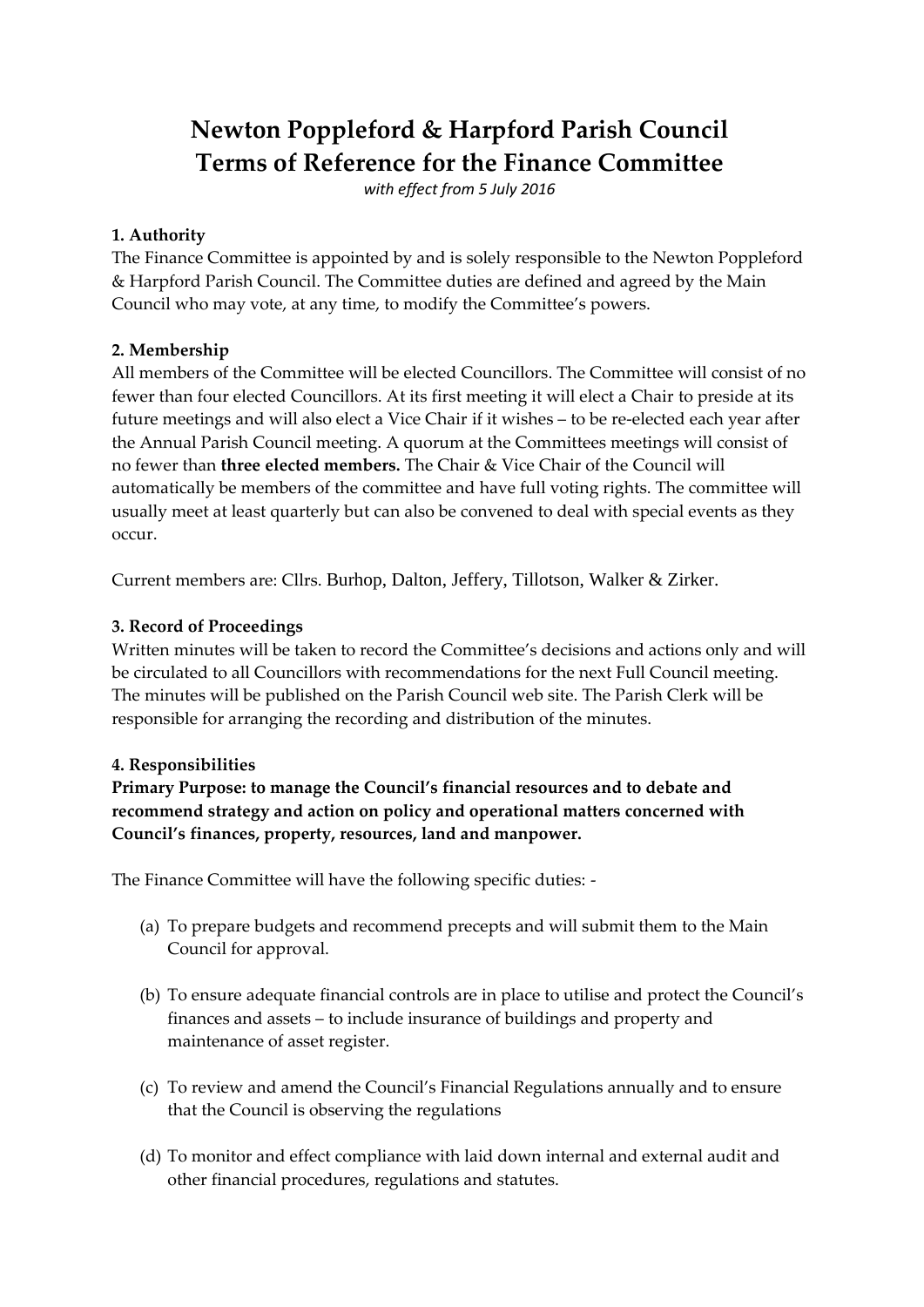# **Newton Poppleford & Harpford Parish Council Terms of Reference for the Finance Committee**

*with effect from 5 July 2016*

#### **1. Authority**

The Finance Committee is appointed by and is solely responsible to the Newton Poppleford & Harpford Parish Council. The Committee duties are defined and agreed by the Main Council who may vote, at any time, to modify the Committee's powers.

## **2. Membership**

All members of the Committee will be elected Councillors. The Committee will consist of no fewer than four elected Councillors. At its first meeting it will elect a Chair to preside at its future meetings and will also elect a Vice Chair if it wishes – to be re-elected each year after the Annual Parish Council meeting. A quorum at the Committees meetings will consist of no fewer than **three elected members.** The Chair & Vice Chair of the Council will automatically be members of the committee and have full voting rights. The committee will usually meet at least quarterly but can also be convened to deal with special events as they occur.

Current members are: Cllrs. Burhop, Dalton, Jeffery, Tillotson, Walker & Zirker.

## **3. Record of Proceedings**

Written minutes will be taken to record the Committee's decisions and actions only and will be circulated to all Councillors with recommendations for the next Full Council meeting. The minutes will be published on the Parish Council web site. The Parish Clerk will be responsible for arranging the recording and distribution of the minutes.

#### **4. Responsibilities**

**Primary Purpose: to manage the Council's financial resources and to debate and recommend strategy and action on policy and operational matters concerned with Council's finances, property, resources, land and manpower.**

The Finance Committee will have the following specific duties: -

- (a) To prepare budgets and recommend precepts and will submit them to the Main Council for approval.
- (b) To ensure adequate financial controls are in place to utilise and protect the Council's finances and assets – to include insurance of buildings and property and maintenance of asset register.
- (c) To review and amend the Council's Financial Regulations annually and to ensure that the Council is observing the regulations
- (d) To monitor and effect compliance with laid down internal and external audit and other financial procedures, regulations and statutes.